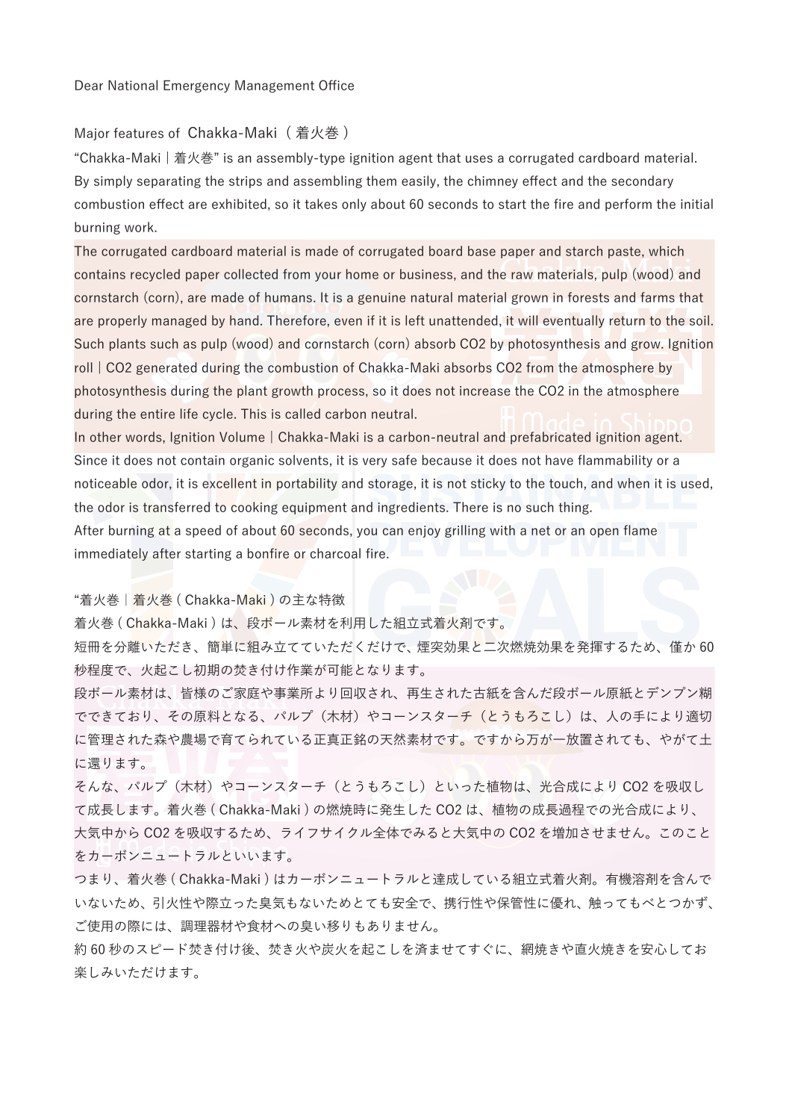Dear National Emergency Management Office

#### Major features of Chakka-Maki (着火巻)

"Chakka-Maki | 着⽕巻" is an assembly-type ignition agent that uses a corrugated cardboard material. By simply separating the strips and assembling them easily, the chimney effect and the secondary combustion effect are exhibited, so it takes only about 60 seconds to start the fire and perform the initial burning work.

The corrugated cardboard material is made of corrugated board base paper and starch paste, which contains recycled paper collected from your home or business, and the raw materials, pulp (wood) and cornstarch (corn), are made of humans. It is a genuine natural material grown in forests and farms that are properly managed by hand. Therefore, even if it is left unattended, it will eventually return to the soil. Such plants such as pulp (wood) and cornstarch (corn) absorb CO2 by photosynthesis and grow. Ignition roll | CO2 generated during the combustion of Chakka-Maki absorbs CO2 from the atmosphere by photosynthesis during the plant growth process, so it does not increase the CO2 in the atmosphere during the entire life cycle. This is called carbon neutral.

In other words, Ignition Volume | Chakka-Maki is a carbon-neutral and prefabricated ignition agent. Since it does not contain organic solvents, it is very safe because it does not have flammability or a noticeable odor, it is excellent in portability and storage, it is not sticky to the touch, and when it is used, the odor is transferred to cooking equipment and ingredients. There is no such thing. After burning at a speed of about 60 seconds, you can enjoy grilling with a net or an open flame immediately after starting a bonfire or charcoal fire.

"着火巻|着火巻 ( Chakka-Maki ) の主な特徴

着火巻 ( Chakka-Maki ) は、段ボール素材を利用した組立式着火剤です。

短冊を分離いただき、簡単に組み立てていただくだけで、 煙突効果と二次燃焼効果を発揮するため、僅か 60 秒程度で、⽕起こし初期の焚き付け作業が可能となります。

段ボール素材は、皆様のご家庭や事業所より回収され、再⽣された古紙を含んだ段ボール原紙とデンプン糊 でできており、その原料となる、パルプ(木材)やコーンスターチ(とうもろこし)は、人の手により適切 に管理された森や農場で育てられている正真正銘の天然素材です。ですから万が一放置されても、やがて土 に還ります。

そんな、パルプ(木材)やコーンスターチ(とうもろこし)といった植物は、光合成により CO2 を吸収し て成⻑します。着⽕巻 ( Chakka-Maki ) の燃焼時に発⽣した CO2 は、植物の成⻑過程での光合成により、 ⼤気中から CO2 を吸収するため、ライフサイクル全体でみると⼤気中の CO2 を増加させません。このこと をカーボンニュートラルといいます。

つまり、着火巻 ( Chakka-Maki ) はカーボンニュートラルと達成している組立式着火剤。有機溶剤を含んで いないため、引火性や際立った臭気もないためとても安全で、携行性や保管性に優れ、触ってもべとつかず、 ご使用の際には、調理器材や食材への臭い移りもありません。

約 60 秒のスピード焚き付け後、焚き火や炭火を起こしを済ませてすぐに、網焼きや直火焼きを安心してお 楽しみいただけます。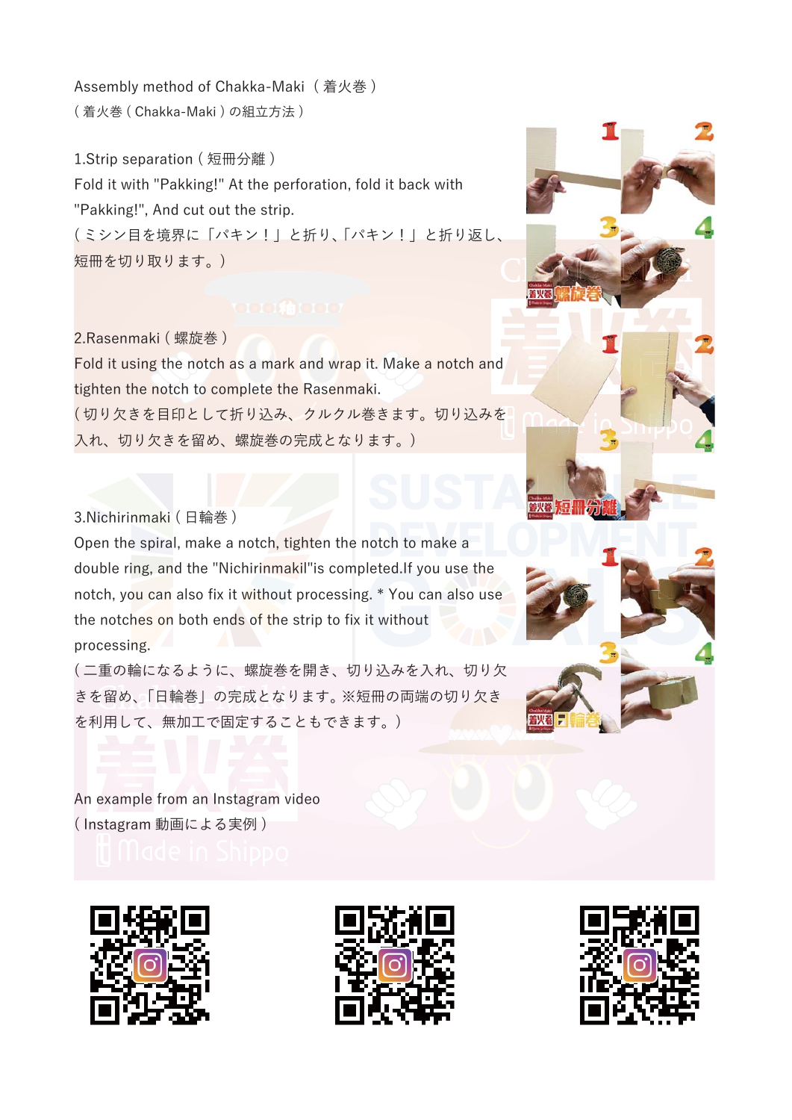Assembly method of Chakka-Maki (着火巻) (着火巻 ( Chakka-Maki ) の組立方法)

1.Strip separation ( 短冊分離 ) Fold it with "Pakking!" At the perforation, fold it back with "Pakking!", And cut out the strip. ( ミシン⽬を境界に「パキン!」と折り、「パキン!」と折り返し、 短冊を切り取ります。)

2.Rasenmaki ( 螺旋巻 ) Fold it using the notch as a mark and wrap it. Make a notch and tighten the notch to complete the Rasenmaki. (切り欠きを目印として折り込み、クルクル巻きます。切り込みを 入れ、切り欠きを留め、螺旋巻の完成となります。)

3.Nichirinmaki ( ⽇輪巻 )

Open the spiral, make a notch, tighten the notch to make a double ring, and the "Nichirinmakil"is completed.If you use the notch, you can also fix it without processing. \* You can also use the notches on both ends of the strip to fix it without processing.

(二重の輪になるように、螺旋巻を開き、切り込みを入れ、切り欠 きを留め、「日輪巻」の完成となります。 ※短冊の両端の切り欠き を利用して、無加工で固定することもできます。)

An example from an Instagram video ( Instagram 動画による実例 )









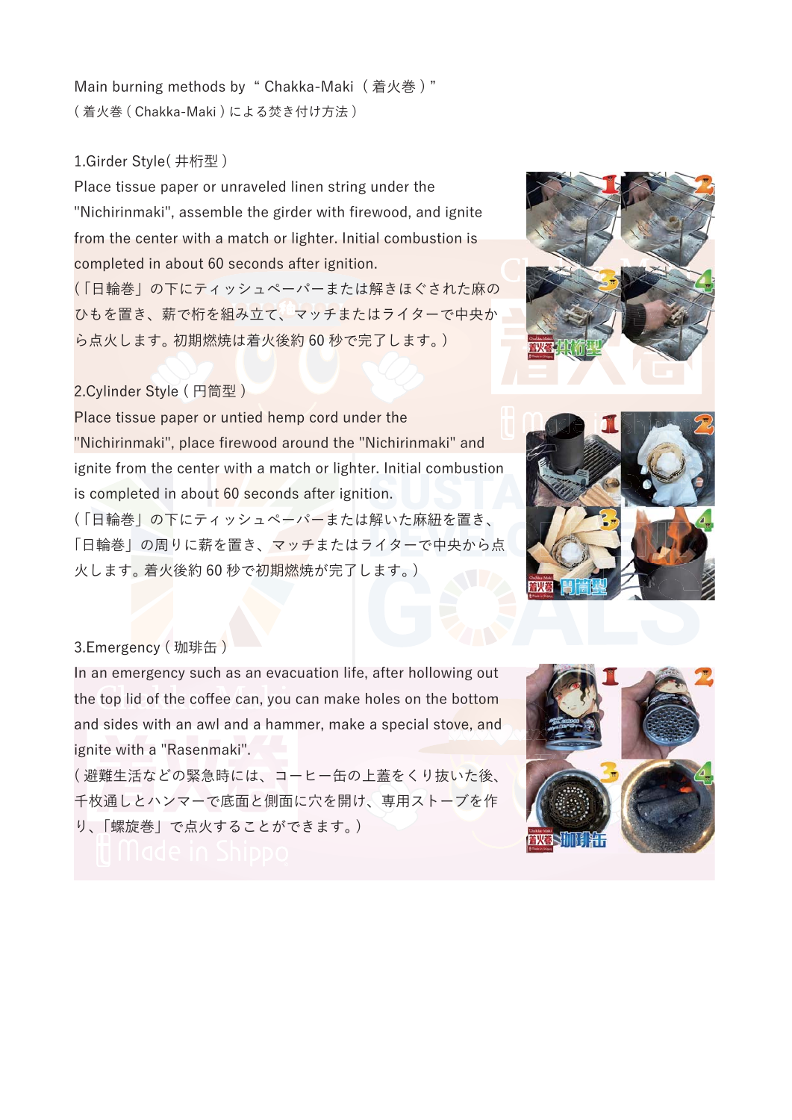Main burning methods by " Chakka-Maki (着火巻)" (着火巻 ( Chakka-Maki ) による焚き付け方法)

# 1.Girder Style( 井桁型 )

Place tissue paper or unraveled linen string under the "Nichirinmaki", assemble the girder with firewood, and ignite from the center with a match or lighter. Initial combustion is completed in about 60 seconds after ignition.

(「日輪巻」の下にティッシュペーパーまたは解きほぐされた麻の ひもを置き、薪で桁を組み立て、マッチまたはライターで中央か ら点火します。 初期燃焼は着火後約 60 秒で完了します。)

## 2.Cylinder Style ( 円筒型 )

Place tissue paper or untied hemp cord under the "Nichirinmaki", place firewood around the "Nichirinmaki" and ignite from the center with a match or lighter. Initial combustion is completed in about 60 seconds after ignition. (「日輪巻」の下にティッシュペーパーまたは解いた麻紐を置き、

「日輪巻」の周りに薪を置き、マッチまたはライターで中央から点 火します。 着火後約 60 秒で初期燃焼が完了します。)





### 3.Emergency (珈琲缶)

In an emergency such as an evacuation life, after hollowing out the top lid of the coffee can, you can make holes on the bottom and sides with an awl and a hammer, make a special stove, and ignite with a "Rasenmaki".

( 避難⽣活などの緊急時には、コーヒー⽸の上蓋をくり抜いた後、 千枚通しとハンマーで底面と側面に穴を開け、専用ストーブを作 り、「螺旋巻」で点火することができます。)